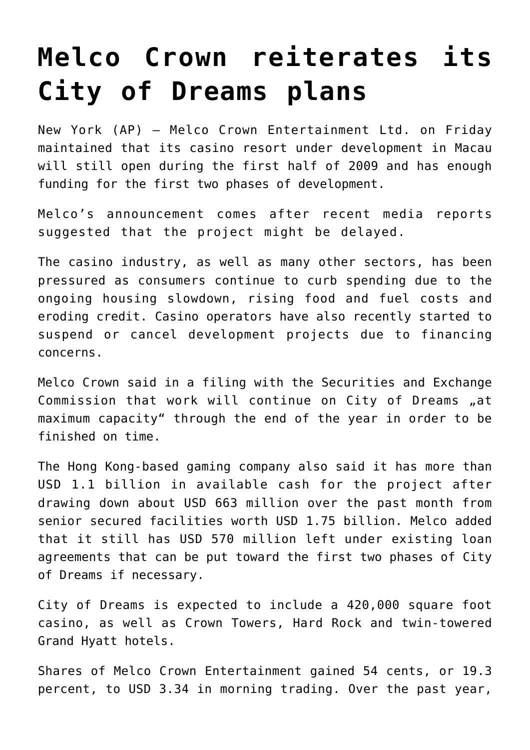## **[Melco Crown reiterates its](https://www.isa-guide.de/english-news/articles/23186.html) [City of Dreams plans](https://www.isa-guide.de/english-news/articles/23186.html)**

New York (AP) — Melco Crown Entertainment Ltd. on Friday maintained that its casino resort under development in Macau will still open during the first half of 2009 and has enough funding for the first two phases of development.

Melco's announcement comes after recent media reports suggested that the project might be delayed.

The casino industry, as well as many other sectors, has been pressured as consumers continue to curb spending due to the ongoing housing slowdown, rising food and fuel costs and eroding credit. Casino operators have also recently started to suspend or cancel development projects due to financing concerns.

Melco Crown said in a filing with the Securities and Exchange Commission that work will continue on City of Dreams "at maximum capacity" through the end of the year in order to be finished on time.

The Hong Kong-based gaming company also said it has more than USD 1.1 billion in available cash for the project after drawing down about USD 663 million over the past month from senior secured facilities worth USD 1.75 billion. Melco added that it still has USD 570 million left under existing loan agreements that can be put toward the first two phases of City of Dreams if necessary.

City of Dreams is expected to include a 420,000 square foot casino, as well as Crown Towers, Hard Rock and twin-towered Grand Hyatt hotels.

Shares of Melco Crown Entertainment gained 54 cents, or 19.3 percent, to USD 3.34 in morning trading. Over the past year,